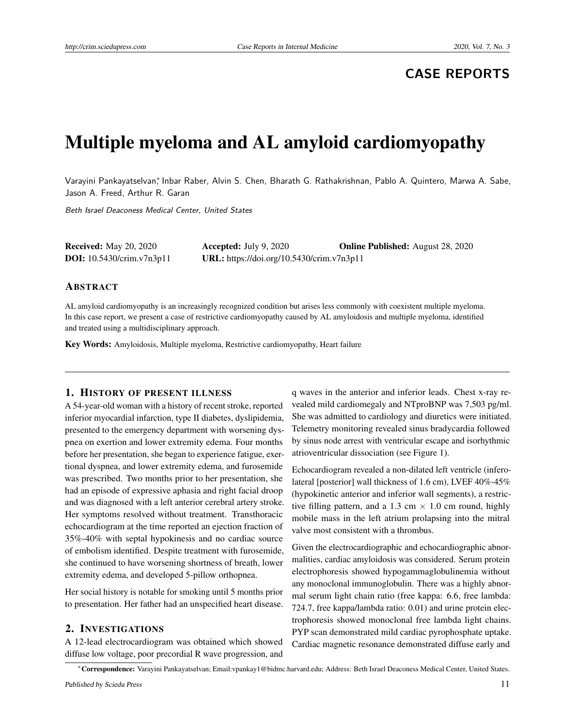# **CASE REPORTS**

# Multiple myeloma and AL amyloid cardiomyopathy

Varayini Pankayatselvan,\* Inbar Raber, Alvin S. Chen, Bharath G. Rathakrishnan, Pablo A. Quintero, Marwa A. Sabe, Jason A. Freed, Arthur R. Garan

Beth Israel Deaconess Medical Center, United States

| <b>Received:</b> May 20, 2020      | Accepted: July $9, 2020$                  | <b>Online Published:</b> August 28, 2020 |
|------------------------------------|-------------------------------------------|------------------------------------------|
| <b>DOI:</b> $10.5430/crim.v7n3p11$ | URL: https://doi.org/10.5430/crim.v7n3p11 |                                          |

# ABSTRACT

AL amyloid cardiomyopathy is an increasingly recognized condition but arises less commonly with coexistent multiple myeloma. In this case report, we present a case of restrictive cardiomyopathy caused by AL amyloidosis and multiple myeloma, identified and treated using a multidisciplinary approach.

Key Words: Amyloidosis, Multiple myeloma, Restrictive cardiomyopathy, Heart failure

# 1. HISTORY OF PRESENT ILLNESS

A 54-year-old woman with a history of recent stroke, reported inferior myocardial infarction, type II diabetes, dyslipidemia, presented to the emergency department with worsening dyspnea on exertion and lower extremity edema. Four months before her presentation, she began to experience fatigue, exertional dyspnea, and lower extremity edema, and furosemide was prescribed. Two months prior to her presentation, she had an episode of expressive aphasia and right facial droop and was diagnosed with a left anterior cerebral artery stroke. Her symptoms resolved without treatment. Transthoracic echocardiogram at the time reported an ejection fraction of 35%-40% with septal hypokinesis and no cardiac source of embolism identified. Despite treatment with furosemide, she continued to have worsening shortness of breath, lower extremity edema, and developed 5-pillow orthopnea.

Her social history is notable for smoking until 5 months prior to presentation. Her father had an unspecified heart disease.

# 2. INVESTIGATIONS

A 12-lead electrocardiogram was obtained which showed diffuse low voltage, poor precordial R wave progression, and

q waves in the anterior and inferior leads. Chest x-ray revealed mild cardiomegaly and NTproBNP was 7,503 pg/ml. She was admitted to cardiology and diuretics were initiated. Telemetry monitoring revealed sinus bradycardia followed by sinus node arrest with ventricular escape and isorhythmic atrioventricular dissociation (see Figure 1).

Echocardiogram revealed a non-dilated left ventricle (inferolateral [posterior] wall thickness of 1.6 cm), LVEF 40%-45% (hypokinetic anterior and inferior wall segments), a restrictive filling pattern, and a 1.3 cm  $\times$  1.0 cm round, highly mobile mass in the left atrium prolapsing into the mitral valve most consistent with a thrombus.

Given the electrocardiographic and echocardiographic abnormalities, cardiac amyloidosis was considered. Serum protein electrophoresis showed hypogammaglobulinemia without any monoclonal immunoglobulin. There was a highly abnormal serum light chain ratio (free kappa: 6.6, free lambda: 724.7, free kappa/lambda ratio: 0.01) and urine protein electrophoresis showed monoclonal free lambda light chains. PYP scan demonstrated mild cardiac pyrophosphate uptake. Cardiac magnetic resonance demonstrated diffuse early and

<sup>∗</sup>Correspondence: Varayini Pankayatselvan; Email:vpankay1@bidmc.harvard.edu; Address: Beth Israel Deaconess Medical Center, United States.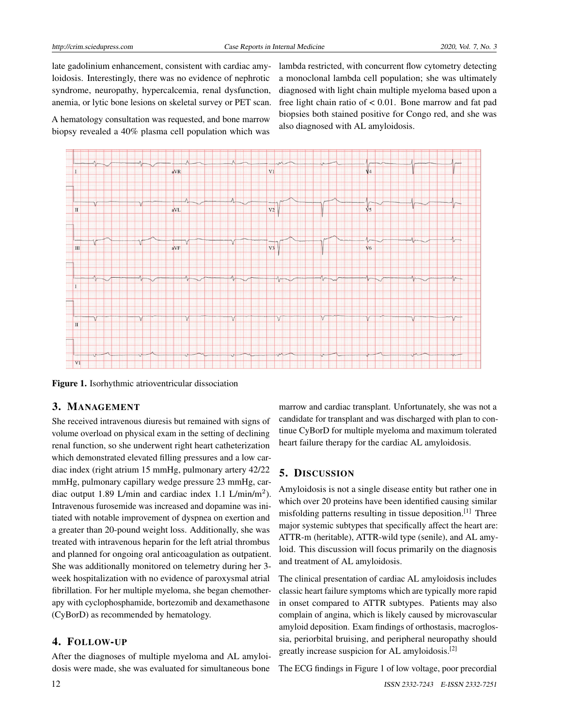late gadolinium enhancement, consistent with cardiac amyloidosis. Interestingly, there was no evidence of nephrotic syndrome, neuropathy, hypercalcemia, renal dysfunction, anemia, or lytic bone lesions on skeletal survey or PET scan.

A hematology consultation was requested, and bone marrow biopsy revealed a 40% plasma cell population which was lambda restricted, with concurrent flow cytometry detecting a monoclonal lambda cell population; she was ultimately diagnosed with light chain multiple myeloma based upon a free light chain ratio of < 0.01. Bone marrow and fat pad biopsies both stained positive for Congo red, and she was also diagnosed with AL amyloidosis.



Figure 1. Isorhythmic atrioventricular dissociation

## 3. MANAGEMENT

She received intravenous diuresis but remained with signs of volume overload on physical exam in the setting of declining renal function, so she underwent right heart catheterization which demonstrated elevated filling pressures and a low cardiac index (right atrium 15 mmHg, pulmonary artery 42/22 mmHg, pulmonary capillary wedge pressure 23 mmHg, cardiac output 1.89 L/min and cardiac index 1.1 L/min/m<sup>2</sup>). Intravenous furosemide was increased and dopamine was initiated with notable improvement of dyspnea on exertion and a greater than 20-pound weight loss. Additionally, she was treated with intravenous heparin for the left atrial thrombus and planned for ongoing oral anticoagulation as outpatient. She was additionally monitored on telemetry during her 3 week hospitalization with no evidence of paroxysmal atrial fibrillation. For her multiple myeloma, she began chemotherapy with cyclophosphamide, bortezomib and dexamethasone (CyBorD) as recommended by hematology.

# 4. FOLLOW-UP

After the diagnoses of multiple myeloma and AL amyloidosis were made, she was evaluated for simultaneous bone

marrow and cardiac transplant. Unfortunately, she was not a candidate for transplant and was discharged with plan to continue CyBorD for multiple myeloma and maximum tolerated heart failure therapy for the cardiac AL amyloidosis.

#### 5. DISCUSSION

Amyloidosis is not a single disease entity but rather one in which over 20 proteins have been identified causing similar misfolding patterns resulting in tissue deposition.[\[1\]](#page-2-0) Three major systemic subtypes that specifically affect the heart are: ATTR-m (heritable), ATTR-wild type (senile), and AL amyloid. This discussion will focus primarily on the diagnosis and treatment of AL amyloidosis.

The clinical presentation of cardiac AL amyloidosis includes classic heart failure symptoms which are typically more rapid in onset compared to ATTR subtypes. Patients may also complain of angina, which is likely caused by microvascular amyloid deposition. Exam findings of orthostasis, macroglossia, periorbital bruising, and peripheral neuropathy should greatly increase suspicion for AL amyloidosis.[\[2\]](#page-2-1)

The ECG findings in Figure 1 of low voltage, poor precordial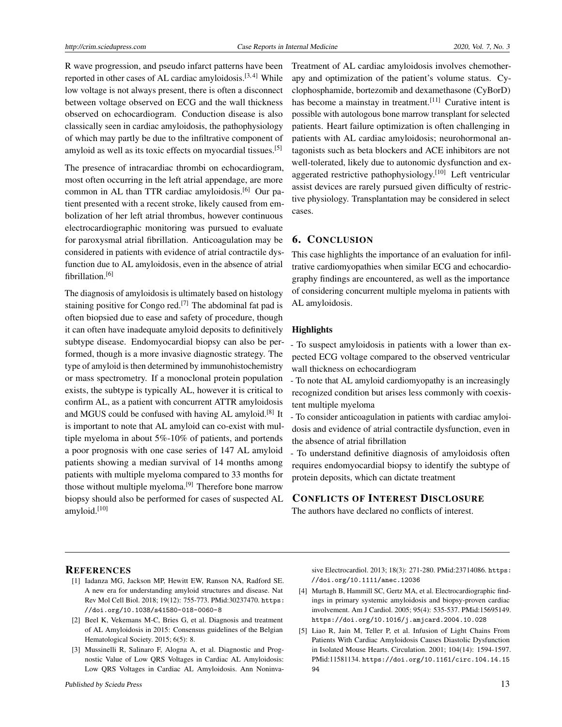R wave progression, and pseudo infarct patterns have been reported in other cases of AL cardiac amyloidosis.<sup>[\[3,](#page-2-2)[4\]](#page-2-3)</sup> While low voltage is not always present, there is often a disconnect between voltage observed on ECG and the wall thickness observed on echocardiogram. Conduction disease is also classically seen in cardiac amyloidosis, the pathophysiology of which may partly be due to the infiltrative component of amyloid as well as its toxic effects on myocardial tissues.<sup>[\[5\]](#page-2-4)</sup>

The presence of intracardiac thrombi on echocardiogram, most often occurring in the left atrial appendage, are more common in AL than TTR cardiac amyloidosis.[\[6\]](#page-3-0) Our patient presented with a recent stroke, likely caused from embolization of her left atrial thrombus, however continuous electrocardiographic monitoring was pursued to evaluate for paroxysmal atrial fibrillation. Anticoagulation may be considered in patients with evidence of atrial contractile dysfunction due to AL amyloidosis, even in the absence of atrial fibrillation.[\[6\]](#page-3-0)

The diagnosis of amyloidosis is ultimately based on histology staining positive for Congo red.[\[7\]](#page-3-1) The abdominal fat pad is often biopsied due to ease and safety of procedure, though it can often have inadequate amyloid deposits to definitively subtype disease. Endomyocardial biopsy can also be performed, though is a more invasive diagnostic strategy. The type of amyloid is then determined by immunohistochemistry or mass spectrometry. If a monoclonal protein population exists, the subtype is typically AL, however it is critical to confirm AL, as a patient with concurrent ATTR amyloidosis and MGUS could be confused with having AL amyloid.<sup>[\[8\]](#page-3-2)</sup> It is important to note that AL amyloid can co-exist with multiple myeloma in about 5%-10% of patients, and portends a poor prognosis with one case series of 147 AL amyloid patients showing a median survival of 14 months among patients with multiple myeloma compared to 33 months for those without multiple myeloma.<sup>[\[9\]](#page-3-3)</sup> Therefore bone marrow biopsy should also be performed for cases of suspected AL amyloid.[\[10\]](#page-3-4)

Treatment of AL cardiac amyloidosis involves chemotherapy and optimization of the patient's volume status. Cyclophosphamide, bortezomib and dexamethasone (CyBorD) has become a mainstay in treatment.<sup>[\[11\]](#page-3-5)</sup> Curative intent is possible with autologous bone marrow transplant for selected patients. Heart failure optimization is often challenging in patients with AL cardiac amyloidosis; neurohormonal antagonists such as beta blockers and ACE inhibitors are not well-tolerated, likely due to autonomic dysfunction and ex-aggerated restrictive pathophysiology.<sup>[\[10\]](#page-3-4)</sup> Left ventricular assist devices are rarely pursued given difficulty of restrictive physiology. Transplantation may be considered in select cases.

# 6. CONCLUSION

This case highlights the importance of an evaluation for infiltrative cardiomyopathies when similar ECG and echocardiography findings are encountered, as well as the importance of considering concurrent multiple myeloma in patients with AL amyloidosis.

### **Highlights**

- To suspect amyloidosis in patients with a lower than expected ECG voltage compared to the observed ventricular wall thickness on echocardiogram

- To note that AL amyloid cardiomyopathy is an increasingly recognized condition but arises less commonly with coexistent multiple myeloma

- To consider anticoagulation in patients with cardiac amyloidosis and evidence of atrial contractile dysfunction, even in the absence of atrial fibrillation

- To understand definitive diagnosis of amyloidosis often requires endomyocardial biopsy to identify the subtype of protein deposits, which can dictate treatment

# CONFLICTS OF INTEREST DISCLOSURE

The authors have declared no conflicts of interest.

# **REFERENCES**

- <span id="page-2-0"></span>[1] Iadanza MG, Jackson MP, Hewitt EW, Ranson NA, Radford SE. A new era for understanding amyloid structures and disease. Nat Rev Mol Cell Biol. 2018; 19(12): 755-773. PMid:30237470. [https:](https://doi.org/10.1038/s41580-018-0060-8) [//doi.org/10.1038/s41580-018-0060-8](https://doi.org/10.1038/s41580-018-0060-8)
- <span id="page-2-1"></span>[2] Beel K, Vekemans M-C, Bries G, et al. Diagnosis and treatment of AL Amyloidosis in 2015: Consensus guidelines of the Belgian Hematological Society. 2015; 6(5): 8.
- <span id="page-2-2"></span>[3] Mussinelli R, Salinaro F, Alogna A, et al. Diagnostic and Prognostic Value of Low QRS Voltages in Cardiac AL Amyloidosis: Low QRS Voltages in Cardiac AL Amyloidosis. Ann Noninva-

sive Electrocardiol. 2013; 18(3): 271-280. PMid:23714086. [https:](https://doi.org/10.1111/anec.12036) [//doi.org/10.1111/anec.12036](https://doi.org/10.1111/anec.12036)

- <span id="page-2-3"></span>[4] Murtagh B, Hammill SC, Gertz MA, et al. Electrocardiographic findings in primary systemic amyloidosis and biopsy-proven cardiac involvement. Am J Cardiol. 2005; 95(4): 535-537. PMid:15695149. <https://doi.org/10.1016/j.amjcard.2004.10.028>
- <span id="page-2-4"></span>[5] Liao R, Jain M, Teller P, et al. Infusion of Light Chains From Patients With Cardiac Amyloidosis Causes Diastolic Dysfunction in Isolated Mouse Hearts. Circulation. 2001; 104(14): 1594-1597. PMid:11581134. [https://doi.org/10.1161/circ.104.14.15](https://doi.org/10.1161/circ.104.14.1594) [94](https://doi.org/10.1161/circ.104.14.1594)